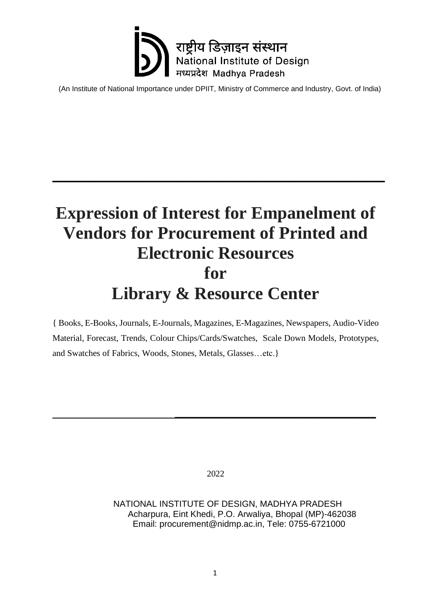

### **Expression of Interest for Empanelment of Vendors for Procurement of Printed and Electronic Resources for Library & Resource Center**

**\_\_\_\_\_\_\_\_\_\_\_\_\_\_\_\_\_\_\_\_\_\_\_\_\_\_\_\_\_\_\_\_\_\_\_\_\_\_\_\_\_\_\_\_\_\_\_\_\_\_\_\_\_\_\_\_\_\_\_\_\_\_\_\_\_\_\_\_\_\_\_\_\_\_\_\_**

{ Books, E-Books, Journals, E-Journals, Magazines, E-Magazines, Newspapers, Audio-Video Material, Forecast, Trends, Colour Chips/Cards/Swatches, Scale Down Models, Prototypes, and Swatches of Fabrics, Woods, Stones, Metals, Glasses…etc.}

2022

 **\_\_\_\_\_\_\_\_\_\_\_\_\_\_\_\_\_\_\_\_\_\_\_\_\_\_\_\_\_\_\_\_\_\_\_\_\_\_\_\_\_\_\_\_\_\_**

 NATIONAL INSTITUTE OF DESIGN, MADHYA PRADESH Acharpura, Eint Khedi, P.O. Arwaliya, Bhopal (MP)-462038 Email: procurement@nidmp.ac.in, Tele: 0755-6721000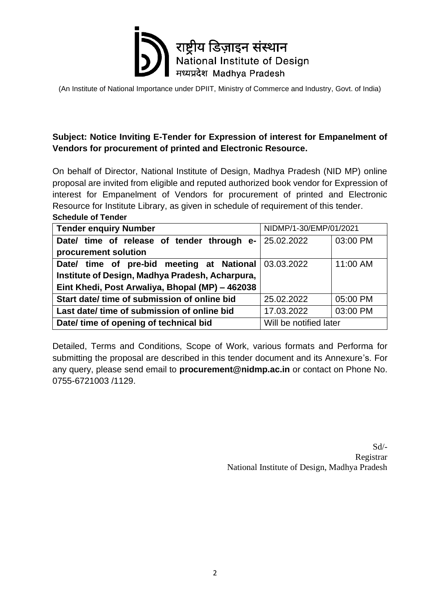

#### **Subject: Notice Inviting E-Tender for Expression of interest for Empanelment of Vendors for procurement of printed and Electronic Resource.**

On behalf of Director, National Institute of Design, Madhya Pradesh (NID MP) online proposal are invited from eligible and reputed authorized book vendor for Expression of interest for Empanelment of Vendors for procurement of printed and Electronic Resource for Institute Library, as given in schedule of requirement of this tender. **Schedule of Tender**

| NIDMP/1-30/EMP/01/2021<br><b>Tender enquiry Number</b> |                        |          |  |  |  |
|--------------------------------------------------------|------------------------|----------|--|--|--|
| Date/ time of release of tender through e- 25.02.2022  |                        | 03:00 PM |  |  |  |
| procurement solution                                   |                        |          |  |  |  |
| Date/ time of pre-bid meeting at National 03.03.2022   |                        | 11:00 AM |  |  |  |
| Institute of Design, Madhya Pradesh, Acharpura,        |                        |          |  |  |  |
| Eint Khedi, Post Arwaliya, Bhopal (MP) - 462038        |                        |          |  |  |  |
| Start date/ time of submission of online bid           | 25.02.2022             | 05:00 PM |  |  |  |
| Last date/ time of submission of online bid            | 17.03.2022             | 03:00 PM |  |  |  |
| Date/ time of opening of technical bid                 | Will be notified later |          |  |  |  |

Detailed, Terms and Conditions, Scope of Work, various formats and Performa for submitting the proposal are described in this tender document and its Annexure's. For any query, please send email to **procurement@nidmp.ac.in** or contact on Phone No. 0755-6721003 /1129.

> Sd/- Registrar National Institute of Design, Madhya Pradesh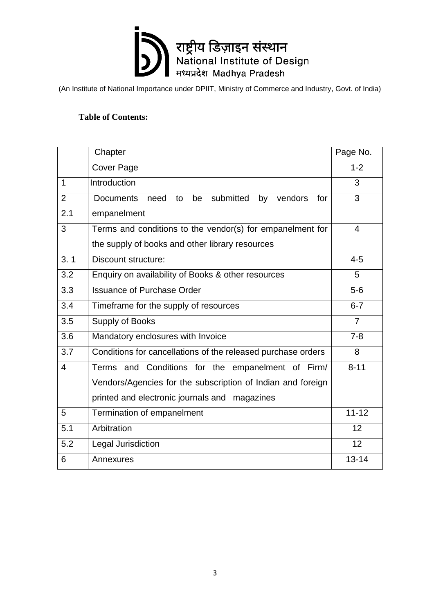

#### **Table of Contents:**

|                | Chapter                                                                   | Page No.       |
|----------------|---------------------------------------------------------------------------|----------------|
|                | <b>Cover Page</b>                                                         | $1 - 2$        |
| $\mathbf{1}$   | Introduction                                                              | 3              |
| $\overline{2}$ | submitted<br><b>Documents</b><br>be<br>by<br>vendors<br>for<br>need<br>to | 3              |
| 2.1            | empanelment                                                               |                |
| 3              | Terms and conditions to the vendor(s) for empanelment for                 | $\overline{4}$ |
|                | the supply of books and other library resources                           |                |
| 3.1            | <b>Discount structure:</b>                                                | $4 - 5$        |
| 3.2            | Enquiry on availability of Books & other resources                        | 5              |
| 3.3            | <b>Issuance of Purchase Order</b>                                         | $5-6$          |
| 3.4            | Timeframe for the supply of resources                                     | $6 - 7$        |
| 3.5            | Supply of Books                                                           | $\overline{7}$ |
| 3.6            | Mandatory enclosures with Invoice                                         | $7 - 8$        |
| 3.7            | Conditions for cancellations of the released purchase orders              | 8              |
| 4              | Terms and Conditions for the empanelment of Firm/                         | $8 - 11$       |
|                | Vendors/Agencies for the subscription of Indian and foreign               |                |
|                | printed and electronic journals and magazines                             |                |
| 5              | Termination of empanelment                                                | $11 - 12$      |
| 5.1            | Arbitration                                                               | 12             |
| 5.2            | Legal Jurisdiction                                                        | 12             |
| 6              | Annexures                                                                 | $13 - 14$      |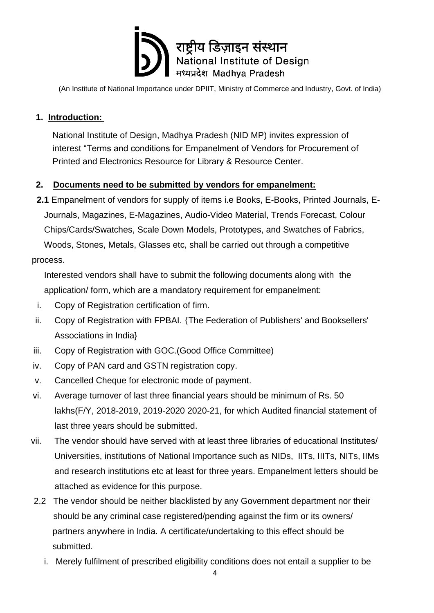

#### **1. Introduction:**

National Institute of Design, Madhya Pradesh (NID MP) invites expression of interest "Terms and conditions for Empanelment of Vendors for Procurement of Printed and Electronics Resource for Library & Resource Center.

#### **2. Documents need to be submitted by vendors for empanelment:**

 **2.1** Empanelment of vendors for supply of items i.e Books, E-Books, Printed Journals, E- Journals, Magazines, E-Magazines, Audio-Video Material, Trends Forecast, Colour Chips/Cards/Swatches, Scale Down Models, Prototypes, and Swatches of Fabrics, Woods, Stones, Metals, Glasses etc, shall be carried out through a competitive process.

 Interested vendors shall have to submit the following documents along with the application/ form, which are a mandatory requirement for empanelment:

- i. Copy of Registration certification of firm.
- ii. Copy of Registration with FPBAI. {The Federation of Publishers' and Booksellers' Associations in India}
- iii. Copy of Registration with GOC.(Good Office Committee)
- iv. Copy of PAN card and GSTN registration copy.
- v. Cancelled Cheque for electronic mode of payment.
- vi. Average turnover of last three financial years should be minimum of Rs. 50 lakhs(F/Y, 2018-2019, 2019-2020 2020-21, for which Audited financial statement of last three years should be submitted.
- vii. The vendor should have served with at least three libraries of educational Institutes/ Universities, institutions of National Importance such as NIDs, IITs, IIITs, NITs, IIMs and research institutions etc at least for three years. Empanelment letters should be attached as evidence for this purpose.
- 2.2 The vendor should be neither blacklisted by any Government department nor their should be any criminal case registered/pending against the firm or its owners/ partners anywhere in India. A certificate/undertaking to this effect should be submitted.
	- i. Merely fulfilment of prescribed eligibility conditions does not entail a supplier to be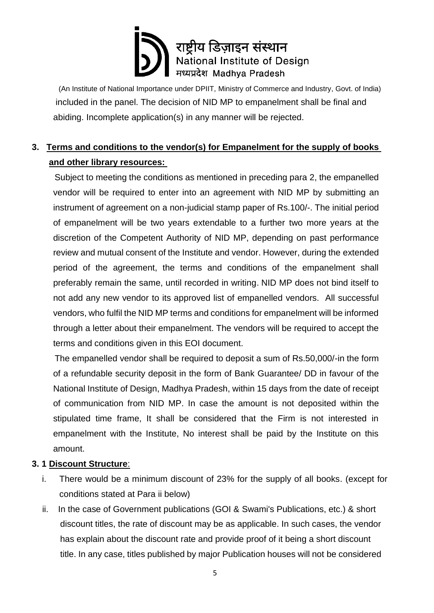(An Institute of National Importance under DPIIT, [Ministry of Commerce and Industry,](https://en.wikipedia.org/wiki/Ministry_of_Commerce_and_Industry_(India)) Govt. of India) included in the panel. The decision of NID MP to empanelment shall be final and abiding. Incomplete application(s) in any manner will be rejected.

### **3. Terms and conditions to the vendor(s) for Empanelment for the supply of books and other library resources:**

 Subject to meeting the conditions as mentioned in preceding para 2, the empanelled vendor will be required to enter into an agreement with NID MP by submitting an instrument of agreement on a non-judicial stamp paper of Rs.100/-. The initial period of empanelment will be two years extendable to a further two more years at the discretion of the Competent Authority of NID MP, depending on past performance review and mutual consent of the Institute and vendor. However, during the extended period of the agreement, the terms and conditions of the empanelment shall preferably remain the same, until recorded in writing. NID MP does not bind itself to not add any new vendor to its approved list of empanelled vendors. All successful vendors, who fulfil the NID MP terms and conditions for empanelment will be informed through a letter about their empanelment. The vendors will be required to accept the terms and conditions given in this EOI document.

 The empanelled vendor shall be required to deposit a sum of Rs.50,000/-in the form of a refundable security deposit in the form of Bank Guarantee/ DD in favour of the National Institute of Design, Madhya Pradesh, within 15 days from the date of receipt of communication from NID MP. In case the amount is not deposited within the stipulated time frame, It shall be considered that the Firm is not interested in empanelment with the Institute, No interest shall be paid by the Institute on this amount.

#### **3. 1 Discount Structure**:

- i. There would be a minimum discount of 23% for the supply of all books. (except for conditions stated at Para ii below)
- ii. In the case of Government publications (GOI & Swami's Publications, etc.) & short discount titles, the rate of discount may be as applicable. In such cases, the vendor has explain about the discount rate and provide proof of it being a short discount title. In any case, titles published by major Publication houses will not be considered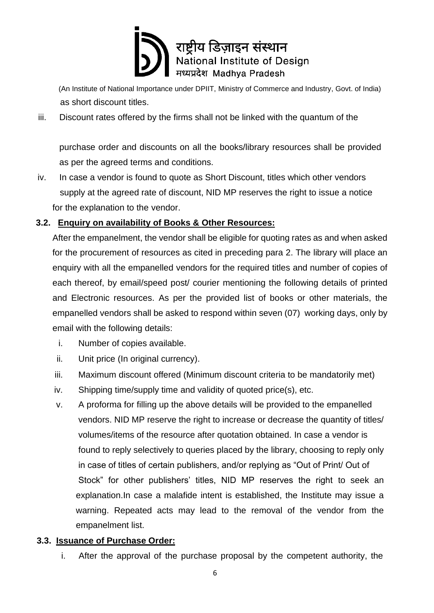

(An Institute of National Importance under DPIIT, [Ministry of Commerce and Industry,](https://en.wikipedia.org/wiki/Ministry_of_Commerce_and_Industry_(India)) Govt. of India) as short discount titles.

iii. Discount rates offered by the firms shall not be linked with the quantum of the

purchase order and discounts on all the books/library resources shall be provided as per the agreed terms and conditions.

iv. In case a vendor is found to quote as Short Discount, titles which other vendors supply at the agreed rate of discount, NID MP reserves the right to issue a notice for the explanation to the vendor.

#### **3.2. Enquiry on availability of Books & Other Resources:**

After the empanelment, the vendor shall be eligible for quoting rates as and when asked for the procurement of resources as cited in preceding para 2. The library will place an enquiry with all the empanelled vendors for the required titles and number of copies of each thereof, by email/speed post/ courier mentioning the following details of printed and Electronic resources. As per the provided list of books or other materials, the empanelled vendors shall be asked to respond within seven (07) working days, only by email with the following details:

- i. Number of copies available.
- ii. Unit price (In original currency).
- iii. Maximum discount offered (Minimum discount criteria to be mandatorily met)
- iv. Shipping time/supply time and validity of quoted price(s), etc.
- v. A proforma for filling up the above details will be provided to the empanelled vendors. NID MP reserve the right to increase or decrease the quantity of titles/ volumes/items of the resource after quotation obtained. In case a vendor is found to reply selectively to queries placed by the library, choosing to reply only in case of titles of certain publishers, and/or replying as "Out of Print/ Out of Stock" for other publishers' titles, NID MP reserves the right to seek an explanation.In case a malafide intent is established, the Institute may issue a warning. Repeated acts may lead to the removal of the vendor from the empanelment list.

#### **3.3. Issuance of Purchase Order:**

i. After the approval of the purchase proposal by the competent authority, the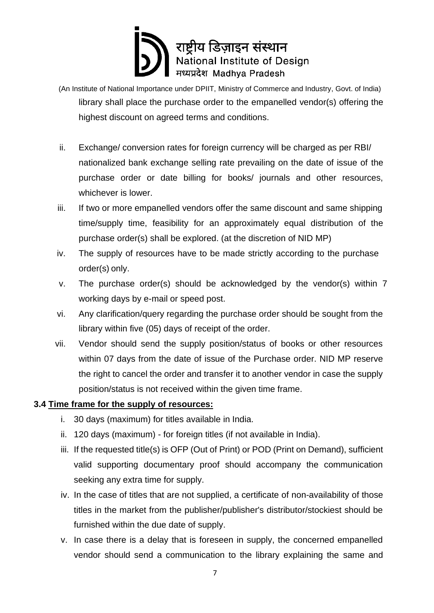- (An Institute of National Importance under DPIIT, [Ministry of Commerce and Industry,](https://en.wikipedia.org/wiki/Ministry_of_Commerce_and_Industry_(India)) Govt. of India) library shall place the purchase order to the empanelled vendor(s) offering the highest discount on agreed terms and conditions.
- ii. Exchange/ conversion rates for foreign currency will be charged as per RBI/ nationalized bank exchange selling rate prevailing on the date of issue of the purchase order or date billing for books/ journals and other resources, whichever is lower.
- iii. If two or more empanelled vendors offer the same discount and same shipping time/supply time, feasibility for an approximately equal distribution of the purchase order(s) shall be explored. (at the discretion of NID MP)
- iv. The supply of resources have to be made strictly according to the purchase order(s) only.
- v. The purchase order(s) should be acknowledged by the vendor(s) within 7 working days by e-mail or speed post.
- vi. Any clarification/query regarding the purchase order should be sought from the library within five (05) days of receipt of the order.
- vii. Vendor should send the supply position/status of books or other resources within 07 days from the date of issue of the Purchase order. NID MP reserve the right to cancel the order and transfer it to another vendor in case the supply position/status is not received within the given time frame.

#### **3.4 Time frame for the supply of resources:**

- i. 30 days (maximum) for titles available in India.
- ii. 120 days (maximum) for foreign titles (if not available in India).
- iii. If the requested title(s) is OFP (Out of Print) or POD (Print on Demand), sufficient valid supporting documentary proof should accompany the communication seeking any extra time for supply.
- iv. In the case of titles that are not supplied, a certificate of non-availability of those titles in the market from the publisher/publisher's distributor/stockiest should be furnished within the due date of supply.
- v. In case there is a delay that is foreseen in supply, the concerned empanelled vendor should send a communication to the library explaining the same and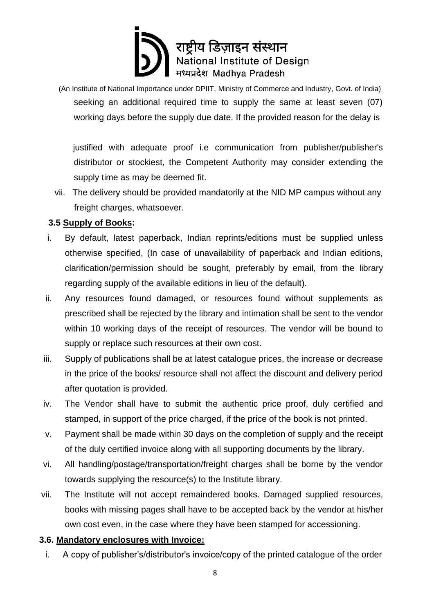(An Institute of National Importance under DPIIT, [Ministry of Commerce and Industry,](https://en.wikipedia.org/wiki/Ministry_of_Commerce_and_Industry_(India)) Govt. of India) seeking an additional required time to supply the same at least seven (07) working days before the supply due date. If the provided reason for the delay is

 justified with adequate proof i.e communication from publisher/publisher's distributor or stockiest, the Competent Authority may consider extending the supply time as may be deemed fit.

vii. The delivery should be provided mandatorily at the NID MP campus without any freight charges, whatsoever.

#### **3.5 Supply of Books:**

- i. By default, latest paperback, Indian reprints/editions must be supplied unless otherwise specified, (In case of unavailability of paperback and Indian editions, clarification/permission should be sought, preferably by email, from the library regarding supply of the available editions in lieu of the default).
- ii. Any resources found damaged, or resources found without supplements as prescribed shall be rejected by the library and intimation shall be sent to the vendor within 10 working days of the receipt of resources. The vendor will be bound to supply or replace such resources at their own cost.
- iii. Supply of publications shall be at latest catalogue prices, the increase or decrease in the price of the books/ resource shall not affect the discount and delivery period after quotation is provided.
- iv. The Vendor shall have to submit the authentic price proof, duly certified and stamped, in support of the price charged, if the price of the book is not printed.
- v. Payment shall be made within 30 days on the completion of supply and the receipt of the duly certified invoice along with all supporting documents by the library.
- vi. All handling/postage/transportation/freight charges shall be borne by the vendor towards supplying the resource(s) to the Institute library.
- vii. The Institute will not accept remaindered books. Damaged supplied resources, books with missing pages shall have to be accepted back by the vendor at his/her own cost even, in the case where they have been stamped for accessioning.

#### **3.6. Mandatory enclosures with Invoice:**

i. A copy of publisher's/distributor's invoice/copy of the printed catalogue of the order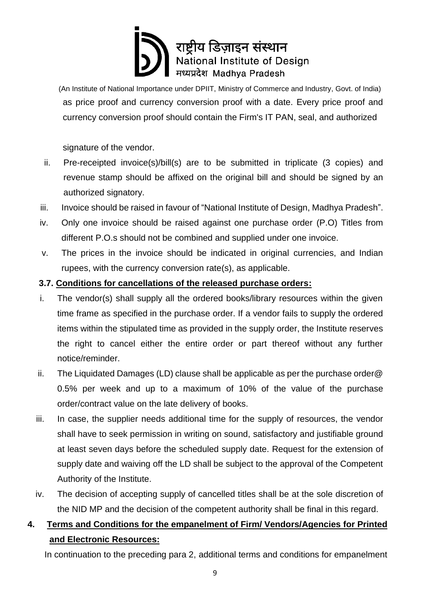(An Institute of National Importance under DPIIT, [Ministry of Commerce and Industry,](https://en.wikipedia.org/wiki/Ministry_of_Commerce_and_Industry_(India)) Govt. of India) as price proof and currency conversion proof with a date. Every price proof and currency conversion proof should contain the Firm's IT PAN, seal, and authorized

signature of the vendor.

- ii. Pre-receipted invoice(s)/bill(s) are to be submitted in triplicate (3 copies) and revenue stamp should be affixed on the original bill and should be signed by an authorized signatory.
- iii. Invoice should be raised in favour of "National Institute of Design, Madhya Pradesh".
- iv. Only one invoice should be raised against one purchase order (P.O) Titles from different P.O.s should not be combined and supplied under one invoice.
- v. The prices in the invoice should be indicated in original currencies, and Indian rupees, with the currency conversion rate(s), as applicable.

#### **3.7. Conditions for cancellations of the released purchase orders:**

- i. The vendor(s) shall supply all the ordered books/library resources within the given time frame as specified in the purchase order. If a vendor fails to supply the ordered items within the stipulated time as provided in the supply order, the Institute reserves the right to cancel either the entire order or part thereof without any further notice/reminder.
- ii. The Liquidated Damages (LD) clause shall be applicable as per the purchase order  $@$ 0.5% per week and up to a maximum of 10% of the value of the purchase order/contract value on the late delivery of books.
- iii. In case, the supplier needs additional time for the supply of resources, the vendor shall have to seek permission in writing on sound, satisfactory and justifiable ground at least seven days before the scheduled supply date. Request for the extension of supply date and waiving off the LD shall be subject to the approval of the Competent Authority of the Institute.
- iv. The decision of accepting supply of cancelled titles shall be at the sole discretion of the NID MP and the decision of the competent authority shall be final in this regard.

### **4. Terms and Conditions for the empanelment of Firm/ Vendors/Agencies for Printed and Electronic Resources:**

In continuation to the preceding para 2, additional terms and conditions for empanelment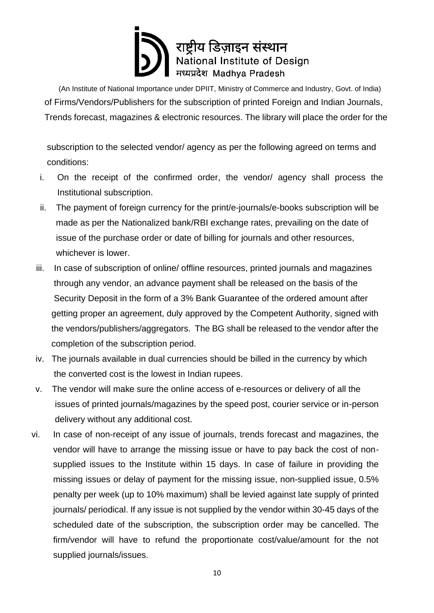(An Institute of National Importance under DPIIT, [Ministry of Commerce and Industry,](https://en.wikipedia.org/wiki/Ministry_of_Commerce_and_Industry_(India)) Govt. of India) of Firms/Vendors/Publishers for the subscription of printed Foreign and Indian Journals, Trends forecast, magazines & electronic resources. The library will place the order for the

 subscription to the selected vendor/ agency as per the following agreed on terms and conditions:

- i. On the receipt of the confirmed order, the vendor/ agency shall process the Institutional subscription.
- ii. The payment of foreign currency for the print/e-journals/e-books subscription will be made as per the Nationalized bank/RBI exchange rates, prevailing on the date of issue of the purchase order or date of billing for journals and other resources, whichever is lower.
- iii. In case of subscription of online/ offline resources, printed journals and magazines through any vendor, an advance payment shall be released on the basis of the Security Deposit in the form of a 3% Bank Guarantee of the ordered amount after getting proper an agreement, duly approved by the Competent Authority, signed with the vendors/publishers/aggregators. The BG shall be released to the vendor after the completion of the subscription period.
- iv. The journals available in dual currencies should be billed in the currency by which the converted cost is the lowest in Indian rupees.
- v. The vendor will make sure the online access of e-resources or delivery of all the issues of printed journals/magazines by the speed post, courier service or in-person delivery without any additional cost.
- vi. In case of non-receipt of any issue of journals, trends forecast and magazines, the vendor will have to arrange the missing issue or have to pay back the cost of nonsupplied issues to the Institute within 15 days. In case of failure in providing the missing issues or delay of payment for the missing issue, non-supplied issue, 0.5% penalty per week (up to 10% maximum) shall be levied against late supply of printed journals/ periodical. If any issue is not supplied by the vendor within 30-45 days of the scheduled date of the subscription, the subscription order may be cancelled. The firm/vendor will have to refund the proportionate cost/value/amount for the not supplied journals/issues.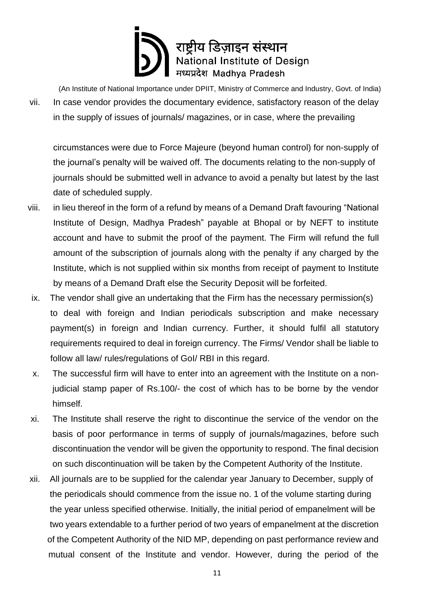(An Institute of National Importance under DPIIT, [Ministry of Commerce and Industry,](https://en.wikipedia.org/wiki/Ministry_of_Commerce_and_Industry_(India)) Govt. of India)

vii. In case vendor provides the documentary evidence, satisfactory reason of the delay in the supply of issues of journals/ magazines, or in case, where the prevailing

circumstances were due to Force Majeure (beyond human control) for non-supply of the journal's penalty will be waived off. The documents relating to the non-supply of journals should be submitted well in advance to avoid a penalty but latest by the last date of scheduled supply.

- viii. in lieu thereof in the form of a refund by means of a Demand Draft favouring "National Institute of Design, Madhya Pradesh" payable at Bhopal or by NEFT to institute account and have to submit the proof of the payment. The Firm will refund the full amount of the subscription of journals along with the penalty if any charged by the Institute, which is not supplied within six months from receipt of payment to Institute by means of a Demand Draft else the Security Deposit will be forfeited.
- ix. The vendor shall give an undertaking that the Firm has the necessary permission(s) to deal with foreign and Indian periodicals subscription and make necessary payment(s) in foreign and Indian currency. Further, it should fulfil all statutory requirements required to deal in foreign currency. The Firms/ Vendor shall be liable to follow all law/ rules/regulations of GoI/ RBI in this regard.
- x. The successful firm will have to enter into an agreement with the Institute on a nonjudicial stamp paper of Rs.100/- the cost of which has to be borne by the vendor himself.
- xi. The Institute shall reserve the right to discontinue the service of the vendor on the basis of poor performance in terms of supply of journals/magazines, before such discontinuation the vendor will be given the opportunity to respond. The final decision on such discontinuation will be taken by the Competent Authority of the Institute.
- xii. All journals are to be supplied for the calendar year January to December, supply of the periodicals should commence from the issue no. 1 of the volume starting during the year unless specified otherwise. Initially, the initial period of empanelment will be two years extendable to a further period of two years of empanelment at the discretion of the Competent Authority of the NID MP, depending on past performance review and mutual consent of the Institute and vendor. However, during the period of the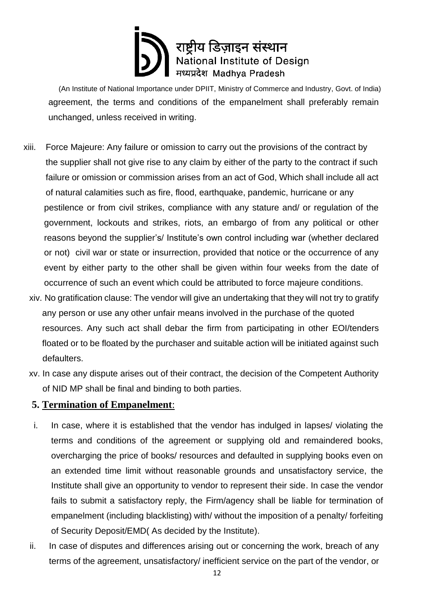(An Institute of National Importance under DPIIT, [Ministry of Commerce and Industry,](https://en.wikipedia.org/wiki/Ministry_of_Commerce_and_Industry_(India)) Govt. of India) agreement, the terms and conditions of the empanelment shall preferably remain unchanged, unless received in writing.

- xiii. Force Majeure: Any failure or omission to carry out the provisions of the contract by the supplier shall not give rise to any claim by either of the party to the contract if such failure or omission or commission arises from an act of God, Which shall include all act of natural calamities such as fire, flood, earthquake, pandemic, hurricane or any pestilence or from civil strikes, compliance with any stature and/ or regulation of the government, lockouts and strikes, riots, an embargo of from any political or other reasons beyond the supplier's/ Institute's own control including war (whether declared or not) civil war or state or insurrection, provided that notice or the occurrence of any event by either party to the other shall be given within four weeks from the date of occurrence of such an event which could be attributed to force majeure conditions.
	- xiv. No gratification clause: The vendor will give an undertaking that they will not try to gratify any person or use any other unfair means involved in the purchase of the quoted resources. Any such act shall debar the firm from participating in other EOI/tenders floated or to be floated by the purchaser and suitable action will be initiated against such defaulters.
	- xv. In case any dispute arises out of their contract, the decision of the Competent Authority of NID MP shall be final and binding to both parties.

#### **5. Termination of Empanelment**:

- i. In case, where it is established that the vendor has indulged in lapses/ violating the terms and conditions of the agreement or supplying old and remaindered books, overcharging the price of books/ resources and defaulted in supplying books even on an extended time limit without reasonable grounds and unsatisfactory service, the Institute shall give an opportunity to vendor to represent their side. In case the vendor fails to submit a satisfactory reply, the Firm/agency shall be liable for termination of empanelment (including blacklisting) with/ without the imposition of a penalty/ forfeiting of Security Deposit/EMD( As decided by the Institute).
- ii. In case of disputes and differences arising out or concerning the work, breach of any terms of the agreement, unsatisfactory/ inefficient service on the part of the vendor, or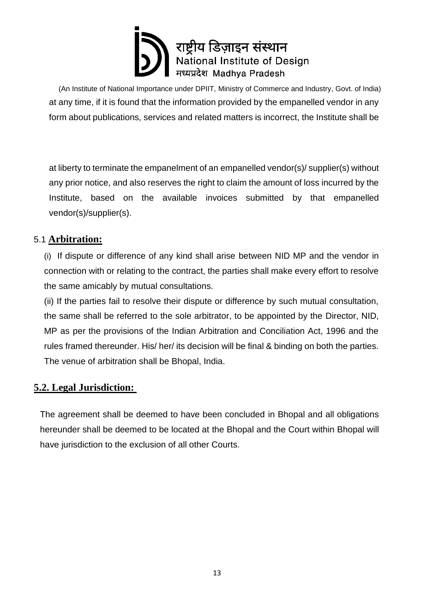(An Institute of National Importance under DPIIT, [Ministry of Commerce and Industry,](https://en.wikipedia.org/wiki/Ministry_of_Commerce_and_Industry_(India)) Govt. of India) at any time, if it is found that the information provided by the empanelled vendor in any form about publications, services and related matters is incorrect, the Institute shall be

at liberty to terminate the empanelment of an empanelled vendor(s)/ supplier(s) without any prior notice, and also reserves the right to claim the amount of loss incurred by the Institute, based on the available invoices submitted by that empanelled vendor(s)/supplier(s).

#### 5.1 **Arbitration:**

(i) If dispute or difference of any kind shall arise between NID MP and the vendor in connection with or relating to the contract, the parties shall make every effort to resolve the same amicably by mutual consultations.

(ii) If the parties fail to resolve their dispute or difference by such mutual consultation, the same shall be referred to the sole arbitrator, to be appointed by the Director, NID, MP as per the provisions of the Indian Arbitration and Conciliation Act, 1996 and the rules framed thereunder. His/ her/ its decision will be final & binding on both the parties. The venue of arbitration shall be Bhopal, India.

#### **5.2. Legal Jurisdiction:**

The agreement shall be deemed to have been concluded in Bhopal and all obligations hereunder shall be deemed to be located at the Bhopal and the Court within Bhopal will have jurisdiction to the exclusion of all other Courts.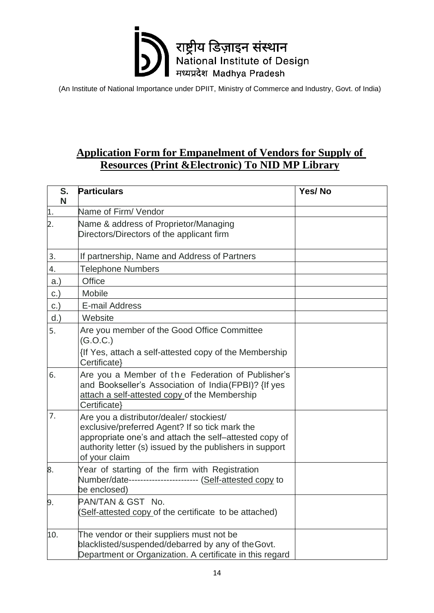

### **Application Form for Empanelment of Vendors for Supply of Resources (Print &Electronic) To NID MP Library**

| S.<br>N          | <b>Particulars</b>                                                                                                                                                                                                                | Yes/No |
|------------------|-----------------------------------------------------------------------------------------------------------------------------------------------------------------------------------------------------------------------------------|--------|
| $\overline{1}$ . | Name of Firm/ Vendor                                                                                                                                                                                                              |        |
| $\overline{2}$ . | Name & address of Proprietor/Managing<br>Directors/Directors of the applicant firm                                                                                                                                                |        |
| 3.               | If partnership, Name and Address of Partners                                                                                                                                                                                      |        |
| 4.               | <b>Telephone Numbers</b>                                                                                                                                                                                                          |        |
| a.               | <b>Office</b>                                                                                                                                                                                                                     |        |
| C.               | Mobile                                                                                                                                                                                                                            |        |
| C.               | E-mail Address                                                                                                                                                                                                                    |        |
| $d.$ )           | Website                                                                                                                                                                                                                           |        |
| 5.               | Are you member of the Good Office Committee<br>(G.O.C.)                                                                                                                                                                           |        |
|                  | {If Yes, attach a self-attested copy of the Membership<br>Certificate}                                                                                                                                                            |        |
| 6.               | Are you a Member of the Federation of Publisher's<br>and Bookseller's Association of India(FPBI)? {If yes<br>attach a self-attested copy of the Membership<br>Certificate}                                                        |        |
| 7.               | Are you a distributor/dealer/ stockiest/<br>exclusive/preferred Agent? If so tick mark the<br>appropriate one's and attach the self-attested copy of<br>authority letter (s) issued by the publishers in support<br>of your claim |        |
| 8.               | Year of starting of the firm with Registration<br>Number/date------------------------ (Self-attested copy to<br>be enclosed)                                                                                                      |        |
| 9.               | PAN/TAN & GST No.<br>Self-attested copy of the certificate to be attached)                                                                                                                                                        |        |
| 10.              | The vendor or their suppliers must not be<br>blacklisted/suspended/debarred by any of the Govt.<br>Department or Organization. A certificate in this regard                                                                       |        |